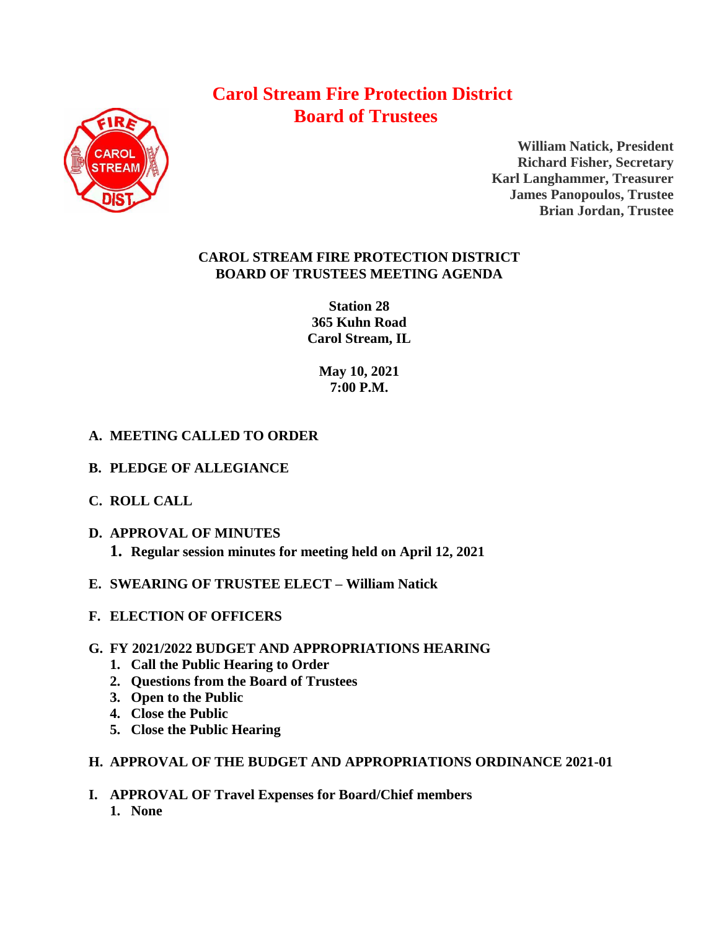# **Carol Stream Fire Protection District Board of Trustees**



**William Natick, President Richard Fisher, Secretary Karl Langhammer, Treasurer James Panopoulos, Trustee Brian Jordan, Trustee**

### **CAROL STREAM FIRE PROTECTION DISTRICT BOARD OF TRUSTEES MEETING AGENDA**

**Station 28 365 Kuhn Road Carol Stream, IL** 

> **May 10, 2021 7:00 P.M.**

## **A. MEETING CALLED TO ORDER**

- **B. PLEDGE OF ALLEGIANCE**
- **C. ROLL CALL**
- **D. APPROVAL OF MINUTES**
	- **1. Regular session minutes for meeting held on April 12, 2021**
- **E. SWEARING OF TRUSTEE ELECT – William Natick**
- **F. ELECTION OF OFFICERS**

### **G. FY 2021/2022 BUDGET AND APPROPRIATIONS HEARING**

- **1. Call the Public Hearing to Order**
- **2. Questions from the Board of Trustees**
- **3. Open to the Public**
- **4. Close the Public**
- **5. Close the Public Hearing**

### **H. APPROVAL OF THE BUDGET AND APPROPRIATIONS ORDINANCE 2021-01**

**I. APPROVAL OF Travel Expenses for Board/Chief members 1. None**